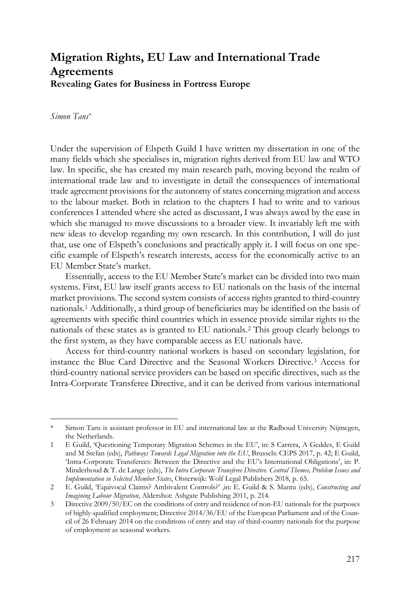## **Migration Rights, EU Law and International Trade Agreements Revealing Gates for Business in Fortress Europe**

*Simon Tans*[\\*](#page-0-0)

Under the supervision of Elspeth Guild I have written my dissertation in one of the many fields which she specialises in, migration rights derived from EU law and WTO law. In specific, she has created my main research path, moving beyond the realm of international trade law and to investigate in detail the consequences of international trade agreement provisions for the autonomy of states concerning migration and access to the labour market. Both in relation to the chapters I had to write and to various conferences I attended where she acted as discussant, I was always awed by the ease in which she managed to move discussions to a broader view. It invariably left me with new ideas to develop regarding my own research. In this contribution, I will do just that, use one of Elspeth's conclusions and practically apply it. I will focus on one specific example of Elspeth's research interests, access for the economically active to an EU Member State's market.

Essentially, access to the EU Member State's market can be divided into two main systems. First, EU law itself grants access to EU nationals on the basis of the internal market provisions. The second system consists of access rights granted to third-country nationals.[1](#page-0-1) Additionally, a third group of beneficiaries may be identified on the basis of agreements with specific third countries which in essence provide similar rights to the nationals of these states as is granted to EU nationals.[2](#page-0-2) This group clearly belongs to the first system, as they have comparable access as EU nationals have.

Access for third-country national workers is based on secondary legislation, for instance the Blue Card Directive and the Seasonal Workers Directive.[3](#page-0-3) Access for third-country national service providers can be based on specific directives, such as the Intra-Corporate Transferee Directive, and it can be derived from various international

<span id="page-0-0"></span>Simon Tans is assistant professor in EU and international law at the Radboud University Nijmegen, the Netherlands.

<span id="page-0-1"></span><sup>1</sup> E Guild, 'Questioning Temporary Migration Schemes in the EU', in: S Carrera, A Geddes, E Guild and M Stefan (eds), *Pathways Towards Legal Migration into the EU*, Brussels: CEPS 2017, p. 42; E Guild, 'Intra-Corporate Transferees: Between the Directive and the EU's International Obligations', in: P. Minderhoud & T. de Lange (eds), *The Intra Corporate Transferee Directive. Central Themes, Problem Issues and Implementation in Selected Member States*, Oisterwijk: Wolf Legal Publishers 2018, p. 65.

<span id="page-0-2"></span><sup>2</sup> E. Guild, 'Equivocal Claims? Ambivalent Controls?' ,in: E. Guild & S. Mantu (eds), *Constructing and Imagining Labour Migration*, Aldershot: Ashgate Publishing 2011, p. 214.

<span id="page-0-3"></span><sup>3</sup> [Directive 2009/50/EC on the conditions of entry and residence of non-EU nationals for the purposes](https://eur-lex.europa.eu/legal-content/EN/AUTO/?uri=celex:32009L0050)  [of highly-qualified employment;](https://eur-lex.europa.eu/legal-content/EN/AUTO/?uri=celex:32009L0050) Directive 2014/36/EU of the European Parliament and of the Council of 26 February 2014 on the conditions of entry and stay of third-country nationals for the purpose of employment as seasonal workers.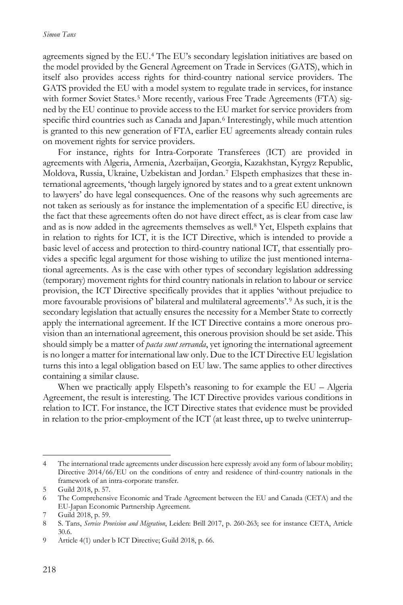agreements signed by the EU.[4](#page-1-0) The EU's secondary legislation initiatives are based on the model provided by the General Agreement on Trade in Services (GATS), which in itself also provides access rights for third-country national service providers. The GATS provided the EU with a model system to regulate trade in services, for instance with former Soviet States.<sup>[5](#page-1-1)</sup> More recently, various Free Trade Agreements (FTA) signed by the EU continue to provide access to the EU market for service providers from specific third countries such as Canada and Japan.[6](#page-1-2) Interestingly, while much attention is granted to this new generation of FTA, earlier EU agreements already contain rules on movement rights for service providers.

For instance, rights for Intra-Corporate Transferees (ICT) are provided in agreements with Algeria, Armenia, Azerbaijan, Georgia, Kazakhstan, Kyrgyz Republic, Moldova, Russia, Ukraine, Uzbekistan and Jordan.[7](#page-1-3) Elspeth emphasizes that these international agreements, 'though largely ignored by states and to a great extent unknown to lawyers' do have legal consequences. One of the reasons why such agreements are not taken as seriously as for instance the implementation of a specific EU directive, is the fact that these agreements often do not have direct effect, as is clear from case law and as is now added in the agreements themselves as well.[8](#page-1-4) Yet, Elspeth explains that in relation to rights for ICT, it is the ICT Directive, which is intended to provide a basic level of access and protection to third-country national ICT, that essentially provides a specific legal argument for those wishing to utilize the just mentioned international agreements. As is the case with other types of secondary legislation addressing (temporary) movement rights for third country nationals in relation to labour or service provision, the ICT Directive specifically provides that it applies 'without prejudice to more favourable provisions of' bilateral and multilateral agreements'.[9](#page-1-5) As such, it is the secondary legislation that actually ensures the necessity for a Member State to correctly apply the international agreement. If the ICT Directive contains a more onerous provision than an international agreement, this onerous provision should be set aside. This should simply be a matter of *pacta sunt servanda*, yet ignoring the international agreement is no longer a matter for international law only. Due to the ICT Directive EU legislation turns this into a legal obligation based on EU law. The same applies to other directives containing a similar clause.

When we practically apply Elspeth's reasoning to for example the EU – Algeria Agreement, the result is interesting. The ICT Directive provides various conditions in relation to ICT. For instance, the ICT Directive states that evidence must be provided in relation to the prior-employment of the ICT (at least three, up to twelve uninterrup-

<span id="page-1-0"></span> <sup>4</sup> The international trade agreements under discussion here expressly avoid any form of labour mobility; Directive 2014/66/EU on the conditions of entry and residence of third-country nationals in the framework of an intra-corporate transfer.

<span id="page-1-1"></span><sup>5</sup> Guild 2018, p. 57.

<span id="page-1-2"></span><sup>6</sup> The Comprehensive Economic and Trade Agreement between the EU and Canada (CETA) and the EU-Japan Economic Partnership Agreement.

<span id="page-1-3"></span><sup>7</sup> Guild 2018, p. 59.

<span id="page-1-4"></span><sup>8</sup> S. Tans, *Service Provision and Migration*, Leiden: Brill 2017, p. 260-263; see for instance CETA, Article 30.6.

<span id="page-1-5"></span><sup>9</sup> Article 4(1) under b ICT Directive; Guild 2018, p. 66.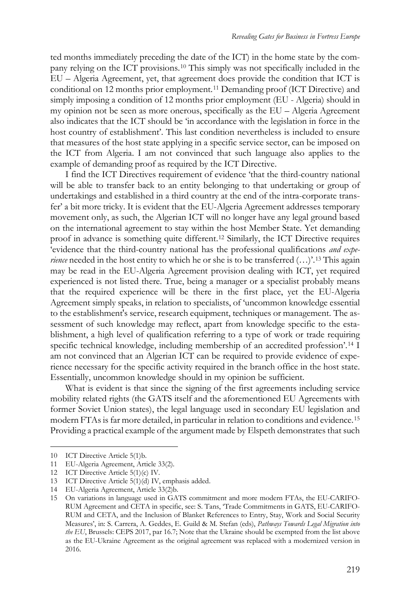ted months immediately preceding the date of the ICT) in the home state by the company relying on the ICT provisions.[10](#page-2-0) This simply was not specifically included in the EU – Algeria Agreement, yet, that agreement does provide the condition that ICT is conditional on 12 months prior employment.[11](#page-2-1) Demanding proof (ICT Directive) and simply imposing a condition of 12 months prior employment (EU - Algeria) should in my opinion not be seen as more onerous, specifically as the EU – Algeria Agreement also indicates that the ICT should be 'in accordance with the legislation in force in the host country of establishment'. This last condition nevertheless is included to ensure that measures of the host state applying in a specific service sector, can be imposed on the ICT from Algeria. I am not convinced that such language also applies to the example of demanding proof as required by the ICT Directive.

I find the ICT Directives requirement of evidence 'that the third-country national will be able to transfer back to an entity belonging to that undertaking or group of undertakings and established in a third country at the end of the intra-corporate transfer' a bit more tricky. It is evident that the EU-Algeria Agreement addresses temporary movement only, as such, the Algerian ICT will no longer have any legal ground based on the international agreement to stay within the host Member State. Yet demanding proof in advance is something quite different.[12](#page-2-2) Similarly, the ICT Directive requires 'evidence that the third-country national has the professional qualifications *and experience* needed in the host entity to which he or she is to be transferred  $(\ldots)$ <sup>[13](#page-2-3)</sup>. This again may be read in the EU-Algeria Agreement provision dealing with ICT, yet required experienced is not listed there. True, being a manager or a specialist probably means that the required experience will be there in the first place, yet the EU-Algeria Agreement simply speaks, in relation to specialists, of 'uncommon knowledge essential to the establishment's service, research equipment, techniques or management. The assessment of such knowledge may reflect, apart from knowledge specific to the establishment, a high level of qualification referring to a type of work or trade requiring specific technical knowledge, including membership of an accredited profession'.[14](#page-2-4) I am not convinced that an Algerian ICT can be required to provide evidence of experience necessary for the specific activity required in the branch office in the host state. Essentially, uncommon knowledge should in my opinion be sufficient.

What is evident is that since the signing of the first agreements including service mobility related rights (the GATS itself and the aforementioned EU Agreements with former Soviet Union states), the legal language used in secondary EU legislation and modern FTAs is far more detailed, in particular in relation to conditions and evidence.[15](#page-2-5) Providing a practical example of the argument made by Elspeth demonstrates that such

<span id="page-2-0"></span> <sup>10</sup> ICT Directive Article 5(1)b.

<span id="page-2-1"></span><sup>11</sup> EU-Algeria Agreement, Article 33(2).

<span id="page-2-2"></span><sup>12</sup> ICT Directive Article 5(1)(c) IV.

<span id="page-2-3"></span><sup>13</sup> ICT Directive Article 5(1)(d) IV, emphasis added.

<span id="page-2-4"></span><sup>14</sup> EU-Algeria Agreement, Article 33(2)b.

<span id="page-2-5"></span><sup>15</sup> On variations in language used in GATS commitment and more modern FTAs, the EU-CARIFO-RUM Agreement and CETA in specific, see: S. Tans, 'Trade Commitments in GATS, EU-CARIFO-RUM and CETA, and the Inclusion of Blanket References to Entry, Stay, Work and Social Security Measures', in: S. Carrera, A. Geddes, E. Guild & M. Stefan (eds), *Pathways Towards Legal Migration into the EU*, Brussels: CEPS 2017, par 16.7; Note that the Ukraine should be exempted from the list above as the EU-Ukraine Agreement as the original agreement was replaced with a modernized version in 2016.